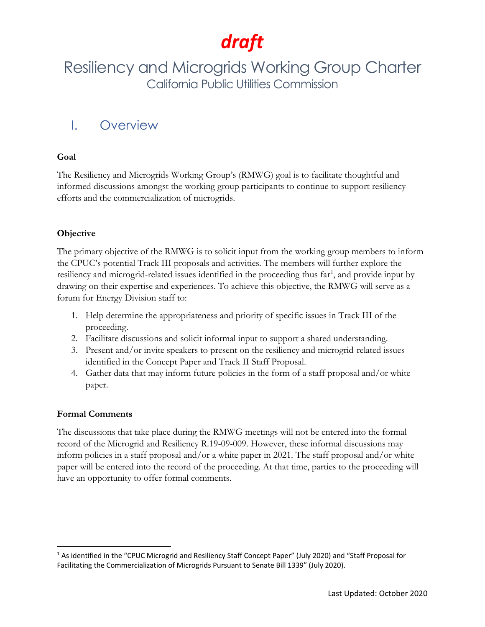## Resiliency and Microgrids Working Group Charter California Public Utilities Commission

### I. Overview

### **Goal**

The Resiliency and Microgrids Working Group's (RMWG) goal is to facilitate thoughtful and informed discussions amongst the working group participants to continue to support resiliency efforts and the commercialization of microgrids.

### **Objective**

The primary objective of the RMWG is to solicit input from the working group members to inform the CPUC's potential Track III proposals and activities. The members will further explore the resiliency and microgrid-related issues identified in the proceeding thus far<sup>[1](#page-0-0)</sup>, and provide input by drawing on their expertise and experiences. To achieve this objective, the RMWG will serve as a forum for Energy Division staff to:

- 1. Help determine the appropriateness and priority of specific issues in Track III of the proceeding.
- 2. Facilitate discussions and solicit informal input to support a shared understanding.
- 3. Present and/or invite speakers to present on the resiliency and microgrid-related issues identified in the Concept Paper and Track II Staff Proposal.
- 4. Gather data that may inform future policies in the form of a staff proposal and/or white paper.

### **Formal Comments**

The discussions that take place during the RMWG meetings will not be entered into the formal record of the Microgrid and Resiliency R.19-09-009. However, these informal discussions may inform policies in a staff proposal and/or a white paper in 2021. The staff proposal and/or white paper will be entered into the record of the proceeding. At that time, parties to the proceeding will have an opportunity to offer formal comments.

<span id="page-0-0"></span><sup>1</sup> As identified in the "CPUC Microgrid and Resiliency Staff Concept Paper" (July 2020) and "Staff Proposal for Facilitating the Commercialization of Microgrids Pursuant to Senate Bill 1339" (July 2020).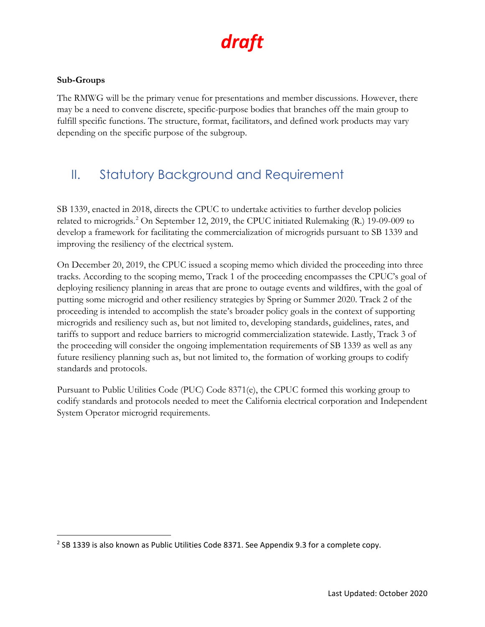### **Sub-Groups**

The RMWG will be the primary venue for presentations and member discussions. However, there may be a need to convene discrete, specific-purpose bodies that branches off the main group to fulfill specific functions. The structure, format, facilitators, and defined work products may vary depending on the specific purpose of the subgroup.

## II. Statutory Background and Requirement

SB 1339, enacted in 2018, directs the CPUC to undertake activities to further develop policies related to microgrids.<sup>2</sup> On September 12, 2019, the CPUC initiated Rulemaking (R.) 19-09-009 to develop a framework for facilitating the commercialization of microgrids pursuant to SB 1339 and improving the resiliency of the electrical system.

On December 20, 2019, the CPUC issued a scoping memo which divided the proceeding into three tracks. According to the scoping memo, Track 1 of the proceeding encompasses the CPUC's goal of deploying resiliency planning in areas that are prone to outage events and wildfires, with the goal of putting some microgrid and other resiliency strategies by Spring or Summer 2020. Track 2 of the proceeding is intended to accomplish the state's broader policy goals in the context of supporting microgrids and resiliency such as, but not limited to, developing standards, guidelines, rates, and tariffs to support and reduce barriers to microgrid commercialization statewide. Lastly, Track 3 of the proceeding will consider the ongoing implementation requirements of SB 1339 as well as any future resiliency planning such as, but not limited to, the formation of working groups to codify standards and protocols.

Pursuant to Public Utilities Code (PUC) Code 8371(e), the CPUC formed this working group to codify standards and protocols needed to meet the California electrical corporation and Independent System Operator microgrid requirements.

<span id="page-1-0"></span> $2$  SB 1339 is also known as Public Utilities Code 8371. See Appendix 9.3 for a complete copy.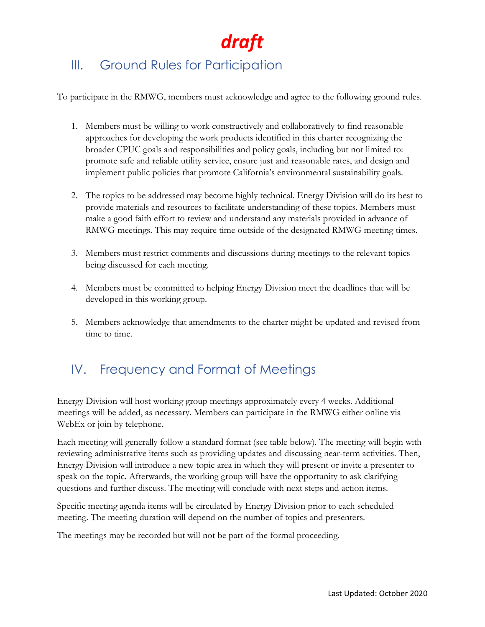## III. Ground Rules for Participation

To participate in the RMWG, members must acknowledge and agree to the following ground rules.

- 1. Members must be willing to work constructively and collaboratively to find reasonable approaches for developing the work products identified in this charter recognizing the broader CPUC goals and responsibilities and policy goals, including but not limited to: promote safe and reliable utility service, ensure just and reasonable rates, and design and implement public policies that promote California's environmental sustainability goals.
- 2. The topics to be addressed may become highly technical. Energy Division will do its best to provide materials and resources to facilitate understanding of these topics. Members must make a good faith effort to review and understand any materials provided in advance of RMWG meetings. This may require time outside of the designated RMWG meeting times.
- 3. Members must restrict comments and discussions during meetings to the relevant topics being discussed for each meeting.
- 4. Members must be committed to helping Energy Division meet the deadlines that will be developed in this working group.
- 5. Members acknowledge that amendments to the charter might be updated and revised from time to time.

## IV. Frequency and Format of Meetings

Energy Division will host working group meetings approximately every 4 weeks. Additional meetings will be added, as necessary. Members can participate in the RMWG either online via WebEx or join by telephone.

Each meeting will generally follow a standard format (see table below). The meeting will begin with reviewing administrative items such as providing updates and discussing near-term activities. Then, Energy Division will introduce a new topic area in which they will present or invite a presenter to speak on the topic. Afterwards, the working group will have the opportunity to ask clarifying questions and further discuss. The meeting will conclude with next steps and action items.

Specific meeting agenda items will be circulated by Energy Division prior to each scheduled meeting. The meeting duration will depend on the number of topics and presenters.

The meetings may be recorded but will not be part of the formal proceeding.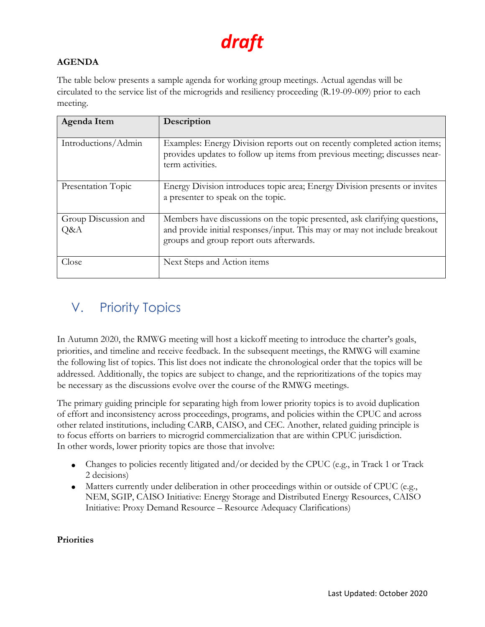### **AGENDA**

The table below presents a sample agenda for working group meetings. Actual agendas will be circulated to the service list of the microgrids and resiliency proceeding (R.19-09-009) prior to each meeting.

| Agenda Item                 | Description                                                                                                                                                                                         |
|-----------------------------|-----------------------------------------------------------------------------------------------------------------------------------------------------------------------------------------------------|
| Introductions/Admin         | Examples: Energy Division reports out on recently completed action items;<br>provides updates to follow up items from previous meeting; discusses near-<br>term activities.                         |
| Presentation Topic          | Energy Division introduces topic area; Energy Division presents or invites<br>a presenter to speak on the topic.                                                                                    |
| Group Discussion and<br>Q&A | Members have discussions on the topic presented, ask clarifying questions,<br>and provide initial responses/input. This may or may not include breakout<br>groups and group report outs afterwards. |
| Close                       | Next Steps and Action items                                                                                                                                                                         |

## V. Priority Topics

In Autumn 2020, the RMWG meeting will host a kickoff meeting to introduce the charter's goals, priorities, and timeline and receive feedback. In the subsequent meetings, the RMWG will examine the following list of topics. This list does not indicate the chronological order that the topics will be addressed. Additionally, the topics are subject to change, and the reprioritizations of the topics may be necessary as the discussions evolve over the course of the RMWG meetings.

The primary guiding principle for separating high from lower priority topics is to avoid duplication of effort and inconsistency across proceedings, programs, and policies within the CPUC and across other related institutions, including CARB, CAISO, and CEC. Another, related guiding principle is to focus efforts on barriers to microgrid commercialization that are within CPUC jurisdiction. In other words, lower priority topics are those that involve:

- Changes to policies recently litigated and/or decided by the CPUC (e.g., in Track 1 or Track 2 decisions)
- Matters currently under deliberation in other proceedings within or outside of CPUC (e.g., NEM, SGIP, CAISO Initiative: Energy Storage and Distributed Energy Resources, CAISO Initiative: Proxy Demand Resource – Resource Adequacy Clarifications)

#### **Priorities**